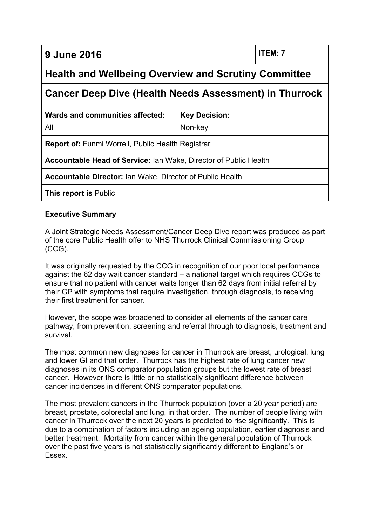**9 June 2016 ITEM: 7**

# **Health and Wellbeing Overview and Scrutiny Committee**

# **Cancer Deep Dive (Health Needs Assessment) in Thurrock**

| Wards and communities affected:                                  | <b>Key Decision:</b> |
|------------------------------------------------------------------|----------------------|
| All                                                              | Non-key              |
| <b>Report of: Funmi Worrell, Public Health Registrar</b>         |                      |
| Accountable Head of Service: Ian Wake, Director of Public Health |                      |
| <b>Accountable Director: Ian Wake, Director of Public Health</b> |                      |

**This report is** Public

### **Executive Summary**

A Joint Strategic Needs Assessment/Cancer Deep Dive report was produced as part of the core Public Health offer to NHS Thurrock Clinical Commissioning Group (CCG).

It was originally requested by the CCG in recognition of our poor local performance against the 62 day wait cancer standard – a national target which requires CCGs to ensure that no patient with cancer waits longer than 62 days from initial referral by their GP with symptoms that require investigation, through diagnosis, to receiving their first treatment for cancer.

However, the scope was broadened to consider all elements of the cancer care pathway, from prevention, screening and referral through to diagnosis, treatment and survival.

The most common new diagnoses for cancer in Thurrock are breast, urological, lung and lower GI and that order. Thurrock has the highest rate of lung cancer new diagnoses in its ONS comparator population groups but the lowest rate of breast cancer. However there is little or no statistically significant difference between cancer incidences in different ONS comparator populations.

The most prevalent cancers in the Thurrock population (over a 20 year period) are breast, prostate, colorectal and lung, in that order. The number of people living with cancer in Thurrock over the next 20 years is predicted to rise significantly. This is due to a combination of factors including an ageing population, earlier diagnosis and better treatment. Mortality from cancer within the general population of Thurrock over the past five years is not statistically significantly different to England's or Essex.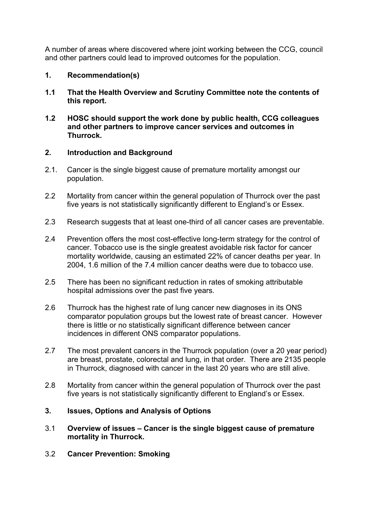A number of areas where discovered where joint working between the CCG, council and other partners could lead to improved outcomes for the population.

## **1. Recommendation(s)**

- **1.1 That the Health Overview and Scrutiny Committee note the contents of this report.**
- **1.2 HOSC should support the work done by public health, CCG colleagues and other partners to improve cancer services and outcomes in Thurrock.**

### **2. Introduction and Background**

- 2.1. Cancer is the single biggest cause of premature mortality amongst our population.
- 2.2 Mortality from cancer within the general population of Thurrock over the past five years is not statistically significantly different to England's or Essex.
- 2.3 Research suggests that at least one-third of all cancer cases are preventable.
- 2.4 Prevention offers the most cost-effective long-term strategy for the control of cancer. Tobacco use is the single greatest avoidable risk factor for cancer mortality worldwide, causing an estimated 22% of cancer deaths per year. In 2004, 1.6 million of the 7.4 million cancer deaths were due to tobacco use.
- 2.5 There has been no significant reduction in rates of smoking attributable hospital admissions over the past five years.
- 2.6 Thurrock has the highest rate of lung cancer new diagnoses in its ONS comparator population groups but the lowest rate of breast cancer. However there is little or no statistically significant difference between cancer incidences in different ONS comparator populations.
- 2.7 The most prevalent cancers in the Thurrock population (over a 20 year period) are breast, prostate, colorectal and lung, in that order. There are 2135 people in Thurrock, diagnosed with cancer in the last 20 years who are still alive.
- 2.8 Mortality from cancer within the general population of Thurrock over the past five years is not statistically significantly different to England's or Essex.

# **3. Issues, Options and Analysis of Options**

- 3.1 **Overview of issues – Cancer is the single biggest cause of premature mortality in Thurrock.**
- 3.2 **Cancer Prevention: Smoking**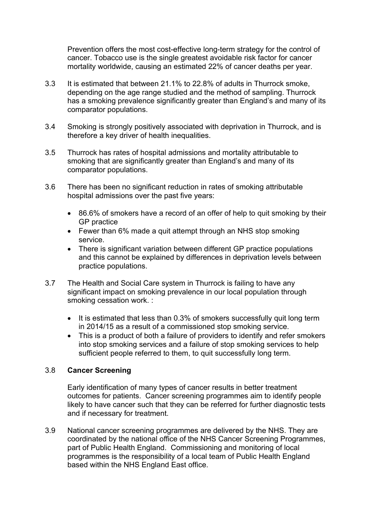Prevention offers the most cost-effective long-term strategy for the control of cancer. Tobacco use is the single greatest avoidable risk factor for cancer mortality worldwide, causing an estimated 22% of cancer deaths per year.

- 3.3 It is estimated that between 21.1% to 22.8% of adults in Thurrock smoke, depending on the age range studied and the method of sampling. Thurrock has a smoking prevalence significantly greater than England's and many of its comparator populations.
- 3.4 Smoking is strongly positively associated with deprivation in Thurrock, and is therefore a key driver of health inequalities.
- 3.5 Thurrock has rates of hospital admissions and mortality attributable to smoking that are significantly greater than England's and many of its comparator populations.
- 3.6 There has been no significant reduction in rates of smoking attributable hospital admissions over the past five years:
	- 86.6% of smokers have a record of an offer of help to quit smoking by their GP practice
	- Fewer than 6% made a quit attempt through an NHS stop smoking service.
	- There is significant variation between different GP practice populations and this cannot be explained by differences in deprivation levels between practice populations.
- 3.7 The Health and Social Care system in Thurrock is failing to have any significant impact on smoking prevalence in our local population through smoking cessation work. :
	- It is estimated that less than 0.3% of smokers successfully quit long term in 2014/15 as a result of a commissioned stop smoking service.
	- This is a product of both a failure of providers to identify and refer smokers into stop smoking services and a failure of stop smoking services to help sufficient people referred to them, to quit successfully long term.

#### 3.8 **Cancer Screening**

Early identification of many types of cancer results in better treatment outcomes for patients. Cancer screening programmes aim to identify people likely to have cancer such that they can be referred for further diagnostic tests and if necessary for treatment.

3.9 National cancer screening programmes are delivered by the NHS. They are coordinated by the national office of the NHS Cancer Screening Programmes, part of Public Health England. Commissioning and monitoring of local programmes is the responsibility of a local team of Public Health England based within the NHS England East office.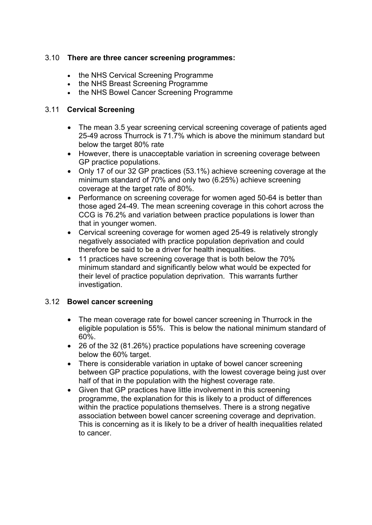## 3.10 **There are three cancer screening programmes:**

- the NHS Cervical Screening Programme
- the NHS Breast Screening Programme
- the NHS Bowel Cancer Screening Programme

#### 3.11 **Cervical Screening**

- The mean 3.5 year screening cervical screening coverage of patients aged 25-49 across Thurrock is 71.7% which is above the minimum standard but below the target 80% rate
- However, there is unacceptable variation in screening coverage between GP practice populations.
- Only 17 of our 32 GP practices (53.1%) achieve screening coverage at the minimum standard of 70% and only two (6.25%) achieve screening coverage at the target rate of 80%.
- Performance on screening coverage for women aged 50-64 is better than those aged 24-49. The mean screening coverage in this cohort across the CCG is 76.2% and variation between practice populations is lower than that in younger women.
- Cervical screening coverage for women aged 25-49 is relatively strongly negatively associated with practice population deprivation and could therefore be said to be a driver for health inequalities.
- 11 practices have screening coverage that is both below the 70% minimum standard and significantly below what would be expected for their level of practice population deprivation. This warrants further investigation.

#### 3.12 **Bowel cancer screening**

- The mean coverage rate for bowel cancer screening in Thurrock in the eligible population is 55%. This is below the national minimum standard of 60%.
- 26 of the 32 (81.26%) practice populations have screening coverage below the 60% target.
- There is considerable variation in uptake of bowel cancer screening between GP practice populations, with the lowest coverage being just over half of that in the population with the highest coverage rate.
- Given that GP practices have little involvement in this screening programme, the explanation for this is likely to a product of differences within the practice populations themselves. There is a strong negative association between bowel cancer screening coverage and deprivation. This is concerning as it is likely to be a driver of health inequalities related to cancer.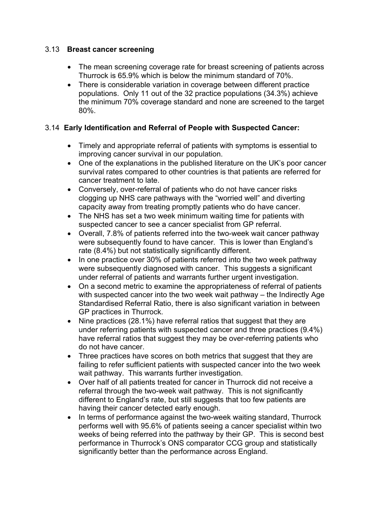# 3.13 **Breast cancer screening**

- The mean screening coverage rate for breast screening of patients across Thurrock is 65.9% which is below the minimum standard of 70%.
- There is considerable variation in coverage between different practice populations. Only 11 out of the 32 practice populations (34.3%) achieve the minimum 70% coverage standard and none are screened to the target 80%.

# 3.14 **Early Identification and Referral of People with Suspected Cancer:**

- Timely and appropriate referral of patients with symptoms is essential to improving cancer survival in our population.
- One of the explanations in the published literature on the UK's poor cancer survival rates compared to other countries is that patients are referred for cancer treatment to late.
- Conversely, over-referral of patients who do not have cancer risks clogging up NHS care pathways with the "worried well" and diverting capacity away from treating promptly patients who do have cancer.
- The NHS has set a two week minimum waiting time for patients with suspected cancer to see a cancer specialist from GP referral.
- Overall, 7.8% of patients referred into the two-week wait cancer pathway were subsequently found to have cancer. This is lower than England's rate (8.4%) but not statistically significantly different.
- In one practice over 30% of patients referred into the two week pathway were subsequently diagnosed with cancer. This suggests a significant under referral of patients and warrants further urgent investigation.
- On a second metric to examine the appropriateness of referral of patients with suspected cancer into the two week wait pathway – the Indirectly Age Standardised Referral Ratio, there is also significant variation in between GP practices in Thurrock.
- Nine practices (28.1%) have referral ratios that suggest that they are under referring patients with suspected cancer and three practices (9.4%) have referral ratios that suggest they may be over-referring patients who do not have cancer.
- Three practices have scores on both metrics that suggest that they are failing to refer sufficient patients with suspected cancer into the two week wait pathway. This warrants further investigation.
- Over half of all patients treated for cancer in Thurrock did not receive a referral through the two-week wait pathway. This is not significantly different to England's rate, but still suggests that too few patients are having their cancer detected early enough.
- In terms of performance against the two-week waiting standard, Thurrock performs well with 95.6% of patients seeing a cancer specialist within two weeks of being referred into the pathway by their GP. This is second best performance in Thurrock's ONS comparator CCG group and statistically significantly better than the performance across England.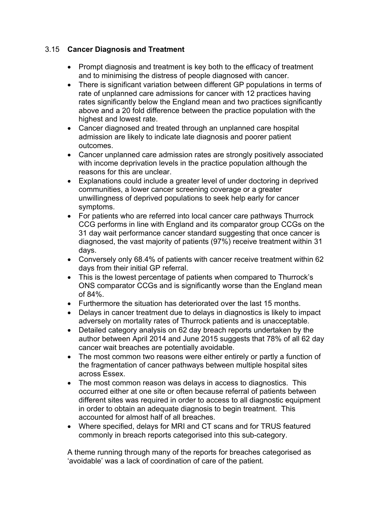# 3.15 **Cancer Diagnosis and Treatment**

- Prompt diagnosis and treatment is key both to the efficacy of treatment and to minimising the distress of people diagnosed with cancer.
- There is significant variation between different GP populations in terms of rate of unplanned care admissions for cancer with 12 practices having rates significantly below the England mean and two practices significantly above and a 20 fold difference between the practice population with the highest and lowest rate.
- Cancer diagnosed and treated through an unplanned care hospital admission are likely to indicate late diagnosis and poorer patient outcomes.
- Cancer unplanned care admission rates are strongly positively associated with income deprivation levels in the practice population although the reasons for this are unclear.
- Explanations could include a greater level of under doctoring in deprived communities, a lower cancer screening coverage or a greater unwillingness of deprived populations to seek help early for cancer symptoms.
- For patients who are referred into local cancer care pathways Thurrock CCG performs in line with England and its comparator group CCGs on the 31 day wait performance cancer standard suggesting that once cancer is diagnosed, the vast majority of patients (97%) receive treatment within 31 days.
- Conversely only 68.4% of patients with cancer receive treatment within 62 days from their initial GP referral.
- This is the lowest percentage of patients when compared to Thurrock's ONS comparator CCGs and is significantly worse than the England mean of 84%.
- Furthermore the situation has deteriorated over the last 15 months.
- Delays in cancer treatment due to delays in diagnostics is likely to impact adversely on mortality rates of Thurrock patients and is unacceptable.
- Detailed category analysis on 62 day breach reports undertaken by the author between April 2014 and June 2015 suggests that 78% of all 62 day cancer wait breaches are potentially avoidable.
- The most common two reasons were either entirely or partly a function of the fragmentation of cancer pathways between multiple hospital sites across Essex.
- The most common reason was delays in access to diagnostics. This occurred either at one site or often because referral of patients between different sites was required in order to access to all diagnostic equipment in order to obtain an adequate diagnosis to begin treatment. This accounted for almost half of all breaches.
- Where specified, delays for MRI and CT scans and for TRUS featured commonly in breach reports categorised into this sub-category.

A theme running through many of the reports for breaches categorised as 'avoidable' was a lack of coordination of care of the patient.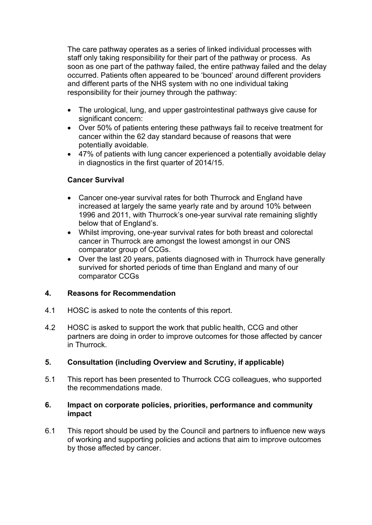The care pathway operates as a series of linked individual processes with staff only taking responsibility for their part of the pathway or process. As soon as one part of the pathway failed, the entire pathway failed and the delay occurred. Patients often appeared to be 'bounced' around different providers and different parts of the NHS system with no one individual taking responsibility for their journey through the pathway:

- The urological, lung, and upper gastrointestinal pathways give cause for significant concern:
- Over 50% of patients entering these pathways fail to receive treatment for cancer within the 62 day standard because of reasons that were potentially avoidable.
- 47% of patients with lung cancer experienced a potentially avoidable delay in diagnostics in the first quarter of 2014/15.

### **Cancer Survival**

- Cancer one-year survival rates for both Thurrock and England have increased at largely the same yearly rate and by around 10% between 1996 and 2011, with Thurrock's one-year survival rate remaining slightly below that of England's.
- Whilst improving, one-year survival rates for both breast and colorectal cancer in Thurrock are amongst the lowest amongst in our ONS comparator group of CCGs.
- Over the last 20 years, patients diagnosed with in Thurrock have generally survived for shorted periods of time than England and many of our comparator CCGs

#### **4. Reasons for Recommendation**

- 4.1 HOSC is asked to note the contents of this report.
- 4.2 HOSC is asked to support the work that public health, CCG and other partners are doing in order to improve outcomes for those affected by cancer in Thurrock.

# **5. Consultation (including Overview and Scrutiny, if applicable)**

5.1 This report has been presented to Thurrock CCG colleagues, who supported the recommendations made.

#### **6. Impact on corporate policies, priorities, performance and community impact**

6.1 This report should be used by the Council and partners to influence new ways of working and supporting policies and actions that aim to improve outcomes by those affected by cancer.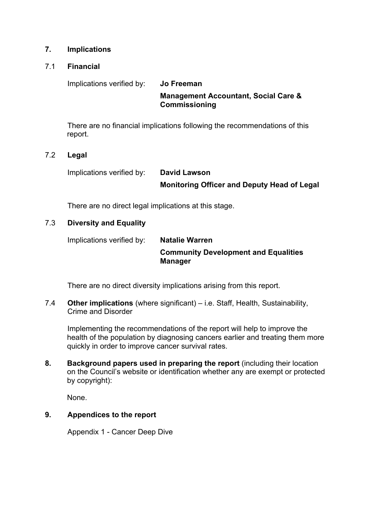### **7. Implications**

#### 7.1 **Financial**

Implications verified by: **Jo Freeman**

**Management Accountant, Social Care & Commissioning**

There are no financial implications following the recommendations of this report.

### 7.2 **Legal**

Implications verified by: **David Lawson**

**Monitoring Officer and Deputy Head of Legal**

There are no direct legal implications at this stage.

# 7.3 **Diversity and Equality**

Implications verified by: **Natalie Warren**

**Community Development and Equalities Manager**

There are no direct diversity implications arising from this report.

7.4 **Other implications** (where significant) – i.e. Staff, Health, Sustainability, Crime and Disorder

Implementing the recommendations of the report will help to improve the health of the population by diagnosing cancers earlier and treating them more quickly in order to improve cancer survival rates.

**8. Background papers used in preparing the report** (including their location on the Council's website or identification whether any are exempt or protected by copyright):

None.

# **9. Appendices to the report**

Appendix 1 - Cancer Deep Dive